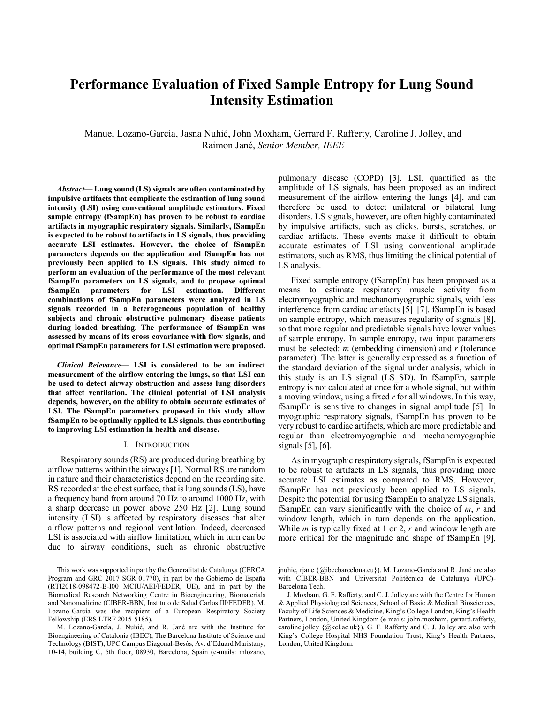# **Performance Evaluation of Fixed Sample Entropy for Lung Sound Intensity Estimation**

Manuel Lozano-García, Jasna Nuhić, John Moxham, Gerrard F. Rafferty, Caroline J. Jolley, and Raimon Jané, Senior Member, IEEE

Abstract-Lung sound (LS) signals are often contaminated by impulsive artifacts that complicate the estimation of lung sound intensity (LSI) using conventional amplitude estimators. Fixed sample entropy (fSampEn) has proven to be robust to cardiac artifacts in myographic respiratory signals. Similarly, fSampEn is expected to be robust to artifacts in LS signals, thus providing accurate LSI estimates. However, the choice of fSampEn parameters depends on the application and fSampEn has not previously been applied to LS signals. This study aimed to perform an evaluation of the performance of the most relevant fSampEn parameters on LS signals, and to propose optimal fSampEn parameters for LSI estimation. Different combinations of fSampEn parameters were analyzed in LS signals recorded in a heterogeneous population of healthy subjects and chronic obstructive pulmonary disease patients during loaded breathing. The performance of fSampEn was assessed by means of its cross-covariance with flow signals, and optimal fSampEn parameters for LSI estimation were proposed.

Clinical Relevance- LSI is considered to be an indirect measurement of the airflow entering the lungs, so that LSI can be used to detect airway obstruction and assess lung disorders that affect ventilation. The clinical potential of LSI analysis depends, however, on the ability to obtain accurate estimates of LSI. The fSampEn parameters proposed in this study allow fSampEn to be optimally applied to LS signals, thus contributing to improving LSI estimation in health and disease.

### I. INTRODUCTION

Respiratory sounds (RS) are produced during breathing by airflow patterns within the airways [1]. Normal RS are random in nature and their characteristics depend on the recording site. RS recorded at the chest surface, that is lung sounds (LS), have a frequency band from around 70 Hz to around 1000 Hz, with a sharp decrease in power above 250 Hz [2]. Lung sound intensity (LSI) is affected by respiratory diseases that alter airflow patterns and regional ventilation. Indeed, decreased LSI is associated with airflow limitation, which in turn can be due to airway conditions, such as chronic obstructive pulmonary disease (COPD) [3]. LSI, quantified as the amplitude of LS signals, has been proposed as an indirect measurement of the airflow entering the lungs [4], and can therefore be used to detect unilateral or bilateral lung disorders. LS signals, however, are often highly contaminated by impulsive artifacts, such as clicks, bursts, scratches, or cardiac artifacts. These events make it difficult to obtain accurate estimates of LSI using conventional amplitude estimators, such as RMS, thus limiting the clinical potential of LS analysis.

Fixed sample entropy (fSampEn) has been proposed as a means to estimate respiratory muscle activity from electromyographic and mechanomyographic signals, with less interference from cardiac artefacts [5]–[7]. fSampEn is based on sample entropy, which measures regularity of signals [8], so that more regular and predictable signals have lower values of sample entropy. In sample entropy, two input parameters must be selected:  $m$  (embedding dimension) and  $r$  (tolerance parameter). The latter is generally expressed as a function of the standard deviation of the signal under analysis, which in this study is an LS signal (LS SD). In fSampEn, sample entropy is not calculated at once for a whole signal, but within a moving window, using a fixed  $r$  for all windows. In this way, fSampEn is sensitive to changes in signal amplitude [5]. In myographic respiratory signals, fSampEn has proven to be very robust to cardiac artifacts, which are more predictable and regular than electromyographic and mechanomyographic signals  $[5]$ ,  $[6]$ .

As in myographic respiratory signals, fSampEn is expected to be robust to artifacts in LS signals, thus providing more accurate LSI estimates as compared to RMS. However, fSampEn has not previously been applied to LS signals. Despite the potential for using fSampEn to analyze LS signals, fSampEn can vary significantly with the choice of  $m, r$  and window length, which in turn depends on the application. While *m* is typically fixed at 1 or 2,  $r$  and window length are more critical for the magnitude and shape of fSampEn [9],

This work was supported in part by the Generalitat de Catalunya (CERCA Program and GRC 2017 SGR 01770), in part by the Gobierno de España (RTI2018-098472-B-I00 MCIU/AEI/FEDER, UE), and in part by the Biomedical Research Networking Centre in Bioengineering, Biomaterials and Nanomedicine (CIBER-BBN, Instituto de Salud Carlos III/FEDER). M. Lozano-García was the recipient of a European Respiratory Society Fellowship (ERS LTRF 2015-5185).

M. Lozano-García, J. Nuhić, and R. Jané are with the Institute for Bioengineering of Catalonia (IBEC), The Barcelona Institute of Science and Technology (BIST), UPC Campus Diagonal-Besòs, Av. d'Eduard Maristany, 10-14, building C, 5th floor, 08930, Barcelona, Spain (e-mails: mlozano,

jnuhic, riane {@ibecbarcelona.eu}). M. Lozano-García and R. Jané are also with CIBER-BBN and Universitat Politècnica de Catalunya (UPC)-Barcelona Tech

J. Moxham, G. F. Rafferty, and C. J. Jolley are with the Centre for Human & Applied Physiological Sciences, School of Basic & Medical Biosciences, Faculty of Life Sciences & Medicine, King's College London, King's Health Partners, London, United Kingdom (e-mails: john.moxham, gerrard.rafferty, caroline.jolley  $\{\textcircled{a}$ kcl.ac.uk}). G. F. Rafferty and C. J. Jolley are also with King's College Hospital NHS Foundation Trust, King's Health Partners, London, United Kingdom.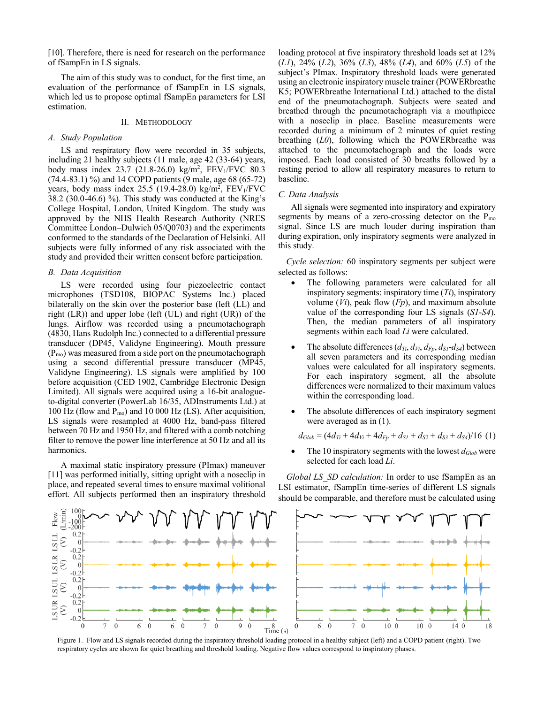[10]. Therefore, there is need for research on the performance of fSampEn in LS signals.

The aim of this study was to conduct, for the first time, an evaluation of the performance of fSampEn in LS signals, which led us to propose optimal fSampEn parameters for LSI estimation.

### II. METHODOLOGY

#### A. Study Population

LS and respiratory flow were recorded in 35 subjects, including 21 healthy subjects (11 male, age 42 (33-64) years, body mass index 23.7 (21.8-26.0) kg/m<sup>2</sup>, FEV<sub>1</sub>/FVC 80.3  $(74.4-83.1)$  %) and 14 COPD patients (9 male, age 68 (65-72) years, body mass index  $25.5$  (19.4-28.0) kg/m<sup>2</sup>, FEV<sub>1</sub>/FVC  $38.2$  (30.0-46.6) %). This study was conducted at the King's College Hospital, London, United Kingdom. The study was approved by the NHS Health Research Authority (NRES Committee London-Dulwich 05/Q0703) and the experiments conformed to the standards of the Declaration of Helsinki. All subjects were fully informed of any risk associated with the study and provided their written consent before participation.

## **B.** Data Acquisition

LS were recorded using four piezoelectric contact microphones (TSD108, BIOPAC Systems Inc.) placed bilaterally on the skin over the posterior base (left (LL) and right  $(LR)$  and upper lobe (left  $(UL)$  and right  $(UR)$ ) of the lungs. Airflow was recorded using a pneumotachograph (4830, Hans Rudolph Inc.) connected to a differential pressure transducer (DP45, Validyne Engineering). Mouth pressure  $(P_{\rm mo})$  was measured from a side port on the pneumotachograph using a second differential pressure transducer (MP45, Validyne Engineering). LS signals were amplified by 100 before acquisition (CED 1902, Cambridge Electronic Design Limited). All signals were acquired using a 16-bit analogueto-digital converter (PowerLab 16/35, ADInstruments Ltd.) at 100 Hz (flow and  $P_{\text{mo}}$ ) and 10 000 Hz (LS). After acquisition, LS signals were resampled at 4000 Hz, band-pass filtered between 70 Hz and 1950 Hz, and filtered with a comb notching filter to remove the power line interference at 50 Hz and all its harmonics.

A maximal static inspiratory pressure (PImax) maneuver [11] was performed initially, sitting upright with a noseclip in place, and repeated several times to ensure maximal volitional effort. All subjects performed then an inspiratory threshold

loading protocol at five inspiratory threshold loads set at 12%  $(L1)$ , 24%  $(L2)$ , 36%  $(L3)$ , 48%  $(L4)$ , and 60%  $(L5)$  of the subject's PImax. Inspiratory threshold loads were generated using an electronic inspiratory muscle trainer (POWERbreather K5; POWERbreathe International Ltd.) attached to the distal end of the pneumotachograph. Subjects were seated and breathed through the pneumotachograph via a mouthpiece with a noseclip in place. Baseline measurements were recorded during a minimum of 2 minutes of quiet resting breathing  $(L0)$ , following which the POWER breathe was attached to the pneumotachograph and the loads were imposed. Each load consisted of 30 breaths followed by a resting period to allow all respiratory measures to return to baseline.

#### C. Data Analysis

All signals were segmented into inspiratory and expiratory segments by means of a zero-crossing detector on the  $P_{\text{mo}}$ signal. Since LS are much louder during inspiration than during expiration, only inspiratory segments were analyzed in this study.

Cycle selection: 60 inspiratory segments per subject were selected as follows:

- The following parameters were calculated for all inspiratory segments: inspiratory time  $(Ti)$ , inspiratory volume  $(Vi)$ , peak flow  $(Fp)$ , and maximum absolute value of the corresponding four LS signals (S1-S4). Then, the median parameters of all inspiratory segments within each load Li were calculated.
- The absolute differences  $(d_{Ti}, d_{Vi}, d_{Fp}, d_{SI} d_{S4})$  between all seven parameters and its corresponding median values were calculated for all inspiratory segments. For each inspiratory segment, all the absolute differences were normalized to their maximum values within the corresponding load.
- The absolute differences of each inspiratory segment were averaged as in  $(1)$ .

$$
d_{Glob} = (4d_{Ti} + 4d_{Vi} + 4d_{Fp} + d_{SI} + d_{S2} + d_{S3} + d_{S4})/16
$$
 (1)

The 10 inspiratory segments with the lowest  $d_{Glob}$  were selected for each load Li.

*Global LS SD calculation:* In order to use fSampEn as an LSI estimator, fSampEn time-series of different LS signals should be comparable, and therefore must be calculated using



Figure 1. Flow and LS signals recorded during the inspiratory threshold loading protocol in a healthy subject (left) and a COPD patient (right). Two respiratory cycles are shown for quiet breathing and threshold loading. Negative flow values correspond to inspiratory phases.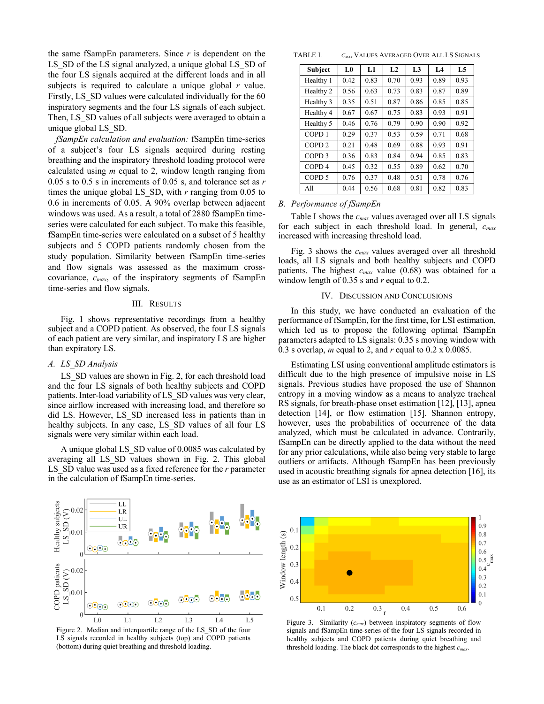the same fSampEn parameters. Since  $r$  is dependent on the LS SD of the LS signal analyzed, a unique global LS SD of the four LS signals acquired at the different loads and in all subjects is required to calculate a unique global  $r$  value. Firstly, LS SD values were calculated individually for the 60 inspiratory segments and the four LS signals of each subject. Then, LS SD values of all subjects were averaged to obtain a unique global LS SD.

fSampEn calculation and evaluation: fSampEn time-series of a subject's four LS signals acquired during resting breathing and the inspiratory threshold loading protocol were calculated using  $m$  equal to 2, window length ranging from 0.05 s to 0.5 s in increments of 0.05 s, and tolerance set as  $r$ times the unique global LS SD, with  $r$  ranging from 0.05 to 0.6 in increments of 0.05. A 90% overlap between adjacent windows was used. As a result, a total of 2880 fSampEn timeseries were calculated for each subject. To make this feasible, fSampEn time-series were calculated on a subset of 5 healthy subjects and 5 COPD patients randomly chosen from the study population. Similarity between fSampEn time-series and flow signals was assessed as the maximum crosscovariance,  $c_{max}$ , of the inspiratory segments of fSampEn time-series and flow signals.

#### III. RESULTS

Fig. 1 shows representative recordings from a healthy subject and a COPD patient. As observed, the four LS signals of each patient are very similar, and inspiratory LS are higher than expiratory LS.

#### A. LS SD Analysis

LS\_SD values are shown in Fig. 2, for each threshold load and the four LS signals of both healthy subjects and COPD patients. Inter-load variability of LS\_SD values was very clear, since airflow increased with increasing load, and therefore so did LS. However, LS SD increased less in patients than in healthy subjects. In any case, LS SD values of all four LS signals were very similar within each load.

A unique global LS SD value of 0.0085 was calculated by averaging all LS SD values shown in Fig. 2. This global LS SD value was used as a fixed reference for the r parameter in the calculation of fSampEn time-series.



| <b>Subject</b>    | L0   | L1   | L <sub>2</sub> | L <sub>3</sub> | L <sub>4</sub> | L5   |
|-------------------|------|------|----------------|----------------|----------------|------|
| Healthy 1         | 0.42 | 0.83 | 0.70           | 0.93           | 0.89           | 0.93 |
| Healthy 2         | 0.56 | 0.63 | 0.73           | 0.83           | 0.87           | 0.89 |
| Healthy 3         | 0.35 | 0.51 | 0.87           | 0.86           | 0.85           | 0.85 |
| Healthy 4         | 0.67 | 0.67 | 0.75           | 0.83           | 0.93           | 0.91 |
| Healthy 5         | 0.46 | 0.76 | 0.79           | 0.90           | 0.90           | 0.92 |
| COPD <sub>1</sub> | 0.29 | 0.37 | 0.53           | 0.59           | 0.71           | 0.68 |
| COPD <sub>2</sub> | 0.21 | 0.48 | 0.69           | 0.88           | 0.93           | 0.91 |
| COPD <sub>3</sub> | 0.36 | 0.83 | 0.84           | 0.94           | 0.85           | 0.83 |
| COPD <sub>4</sub> | 0.45 | 0.32 | 0.55           | 0.89           | 0.62           | 0.70 |
| COPD <sub>5</sub> | 0.76 | 0.37 | 0.48           | 0.51           | 0.78           | 0.76 |
| All               | 0.44 | 0.56 | 0.68           | 0.81           | 0.82           | 0.83 |

#### **B.** Performance of fSampEn

Table I shows the  $c_{max}$  values averaged over all LS signals for each subject in each threshold load. In general,  $c_{max}$ increased with increasing threshold load.

Fig. 3 shows the  $c_{max}$  values averaged over all threshold loads, all LS signals and both healthy subjects and COPD patients. The highest  $c_{max}$  value (0.68) was obtained for a window length of 0.35 s and r equal to 0.2.

#### IV. DISCUSSION AND CONCLUSIONS

In this study, we have conducted an evaluation of the performance of fSampEn, for the first time, for LSI estimation, which led us to propose the following optimal fSampEn parameters adapted to LS signals: 0.35 s moving window with 0.3 s overlap, m equal to 2, and r equal to 0.2 x 0.0085.

Estimating LSI using conventional amplitude estimators is difficult due to the high presence of impulsive noise in LS signals. Previous studies have proposed the use of Shannon entropy in a moving window as a means to analyze tracheal RS signals, for breath-phase onset estimation [12], [13], apnea detection [14], or flow estimation [15]. Shannon entropy, however, uses the probabilities of occurrence of the data analyzed, which must be calculated in advance. Contrarily, fSampEn can be directly applied to the data without the need for any prior calculations, while also being very stable to large outliers or artifacts. Although fSampEn has been previously used in acoustic breathing signals for appea detection [16], its use as an estimator of LSI is unexplored.



Figure 2. Median and interquartile range of the LS\_SD of the four LS signals recorded in healthy subjects (top) and COPD patients (bottom) during quiet breathing and threshold loading.



Figure 3. Similarity  $(c_{max})$  between inspiratory segments of flow signals and fSampEn time-series of the four LS signals recorded in healthy subjects and COPD patients during quiet breathing and threshold loading. The black dot corresponds to the highest  $c_{max}$ .